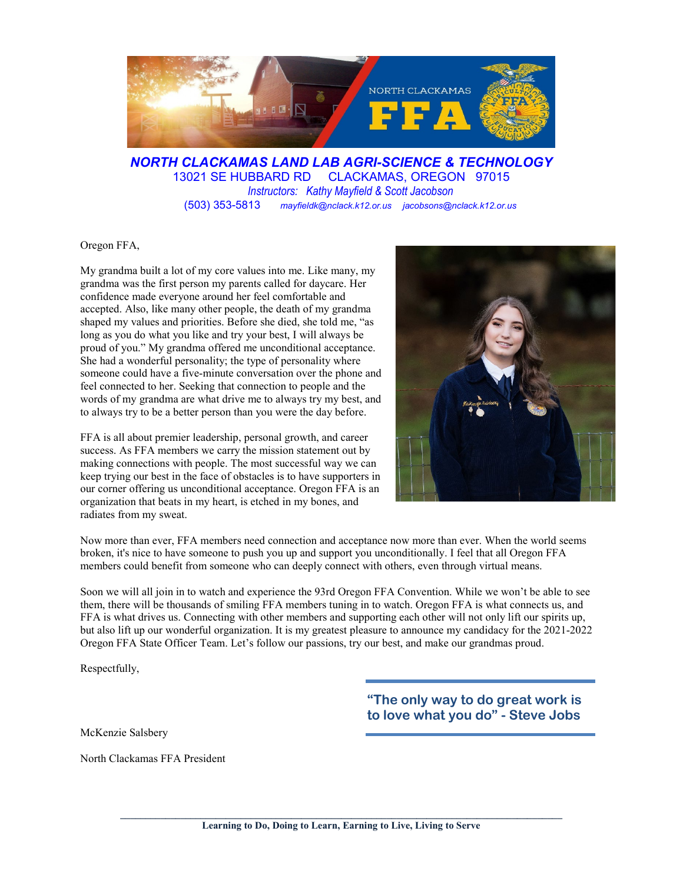

*NORTH CLACKAMAS LAND LAB AGRI-SCIENCE & TECHNOLOGY* 13021 SE HUBBARD RD CLACKAMAS, OREGON 97015 *Instructors: Kathy Mayfield & Scott Jacobson* (503) 353-5813 *mayfieldk@nclack.k12.or.us jacobsons@nclack.k12.or.us*

Oregon FFA,

My grandma built a lot of my core values into me. Like many, my grandma was the first person my parents called for daycare. Her confidence made everyone around her feel comfortable and accepted. Also, like many other people, the death of my grandma shaped my values and priorities. Before she died, she told me, "as long as you do what you like and try your best, I will always be proud of you." My grandma offered me unconditional acceptance. She had a wonderful personality; the type of personality where someone could have a five-minute conversation over the phone and feel connected to her. Seeking that connection to people and the words of my grandma are what drive me to always try my best, and to always try to be a better person than you were the day before.

FFA is all about premier leadership, personal growth, and career success. As FFA members we carry the mission statement out by making connections with people. The most successful way we can keep trying our best in the face of obstacles is to have supporters in our corner offering us unconditional acceptance. Oregon FFA is an organization that beats in my heart, is etched in my bones, and radiates from my sweat.



Now more than ever, FFA members need connection and acceptance now more than ever. When the world seems broken, it's nice to have someone to push you up and support you unconditionally. I feel that all Oregon FFA members could benefit from someone who can deeply connect with others, even through virtual means.

Soon we will all join in to watch and experience the 93rd Oregon FFA Convention. While we won't be able to see them, there will be thousands of smiling FFA members tuning in to watch. Oregon FFA is what connects us, and FFA is what drives us. Connecting with other members and supporting each other will not only lift our spirits up, but also lift up our wonderful organization. It is my greatest pleasure to announce my candidacy for the 2021-2022 Oregon FFA State Officer Team. Let's follow our passions, try our best, and make our grandmas proud.

Respectfully,

McKenzie Salsbery

North Clackamas FFA President

**"The only way to do great work is to love what you do" - Steve Jobs**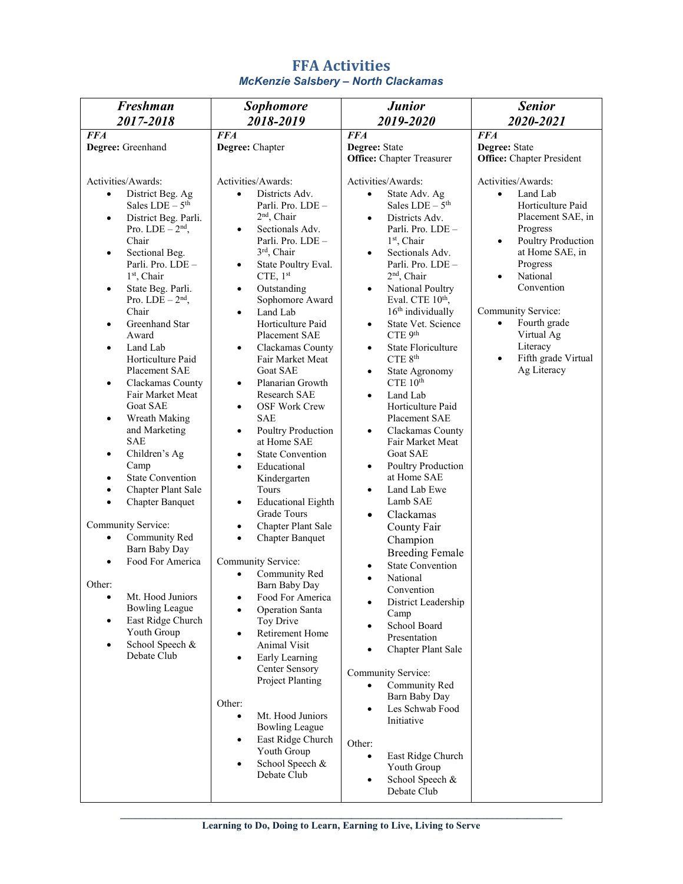| 2017-2018<br>2018-2019<br>2019-2020<br>2020-2021<br><b>FFA</b><br><b>FFA</b><br><b>FFA</b><br><b>FFA</b><br>Degree: Greenhand<br>Degree: Chapter<br>Degree: State<br>Degree: State<br><b>Office:</b> Chapter President<br><b>Office:</b> Chapter Treasurer<br>Activities/Awards:<br>Activities/Awards:<br>Activities/Awards:<br>Activities/Awards:<br>Districts Adv.<br>District Beg. Ag<br>State Adv. Ag<br>Land Lab<br>$\bullet$<br>$\bullet$<br>$\bullet$<br>$\bullet$<br>Sales $LDE - 5th$<br>Sales $LDE - 5th$<br>Horticulture Paid<br>Parli. Pro. LDE -<br>$2nd$ , Chair<br>Placement SAE, in<br>District Beg. Parli.<br>Districts Adv.<br>$\bullet$<br>$\bullet$                                                                                                                                                                                                                                                                                                                                                                                                                                                                                                                                                                                                                                                                                                                                                                                                                                                                                                                                                                                                                                                                                                                                                                                                                                                                                                                                                                                                                                                                                                                                                                                                                                                                                                                                                                                                                                                                                                                                                                                                                                                                                                                                                                                                                                                                                                                                                                                                                                                                                                                                                                                                                                                        |  |
|--------------------------------------------------------------------------------------------------------------------------------------------------------------------------------------------------------------------------------------------------------------------------------------------------------------------------------------------------------------------------------------------------------------------------------------------------------------------------------------------------------------------------------------------------------------------------------------------------------------------------------------------------------------------------------------------------------------------------------------------------------------------------------------------------------------------------------------------------------------------------------------------------------------------------------------------------------------------------------------------------------------------------------------------------------------------------------------------------------------------------------------------------------------------------------------------------------------------------------------------------------------------------------------------------------------------------------------------------------------------------------------------------------------------------------------------------------------------------------------------------------------------------------------------------------------------------------------------------------------------------------------------------------------------------------------------------------------------------------------------------------------------------------------------------------------------------------------------------------------------------------------------------------------------------------------------------------------------------------------------------------------------------------------------------------------------------------------------------------------------------------------------------------------------------------------------------------------------------------------------------------------------------------------------------------------------------------------------------------------------------------------------------------------------------------------------------------------------------------------------------------------------------------------------------------------------------------------------------------------------------------------------------------------------------------------------------------------------------------------------------------------------------------------------------------------------------------------------------------------------------------------------------------------------------------------------------------------------------------------------------------------------------------------------------------------------------------------------------------------------------------------------------------------------------------------------------------------------------------------------------------------------------------------------------------------------------------|--|
|                                                                                                                                                                                                                                                                                                                                                                                                                                                                                                                                                                                                                                                                                                                                                                                                                                                                                                                                                                                                                                                                                                                                                                                                                                                                                                                                                                                                                                                                                                                                                                                                                                                                                                                                                                                                                                                                                                                                                                                                                                                                                                                                                                                                                                                                                                                                                                                                                                                                                                                                                                                                                                                                                                                                                                                                                                                                                                                                                                                                                                                                                                                                                                                                                                                                                                                                |  |
|                                                                                                                                                                                                                                                                                                                                                                                                                                                                                                                                                                                                                                                                                                                                                                                                                                                                                                                                                                                                                                                                                                                                                                                                                                                                                                                                                                                                                                                                                                                                                                                                                                                                                                                                                                                                                                                                                                                                                                                                                                                                                                                                                                                                                                                                                                                                                                                                                                                                                                                                                                                                                                                                                                                                                                                                                                                                                                                                                                                                                                                                                                                                                                                                                                                                                                                                |  |
| Progress<br>Pro. LDE $-2nd$ ,<br>Sectionals Adv.<br>Parli. Pro. LDE -<br>$\bullet$<br>Poultry Production<br>Chair<br>Parli. Pro. LDE -<br>$1st$ , Chair<br>$\bullet$<br>3rd, Chair<br>at Home SAE, in<br>Sectionals Adv.<br>Sectional Beg.<br>$\bullet$<br>$\bullet$<br>Progress<br>Parli. Pro. LDE -<br>State Poultry Eval.<br>Parli. Pro. LDE -<br>$\bullet$<br>2 <sup>nd</sup> , Chair<br>1st, Chair<br>CTE, $1st$<br>National<br>$\bullet$<br>Convention<br>National Poultry<br>State Beg. Parli.<br>Outstanding<br>$\bullet$<br>$\bullet$<br>$\bullet$<br>Eval. CTE 10th,<br>Pro. LDE $-2nd$ ,<br>Sophomore Award<br>Community Service:<br>Chair<br>16 <sup>th</sup> individually<br>Land Lab<br>٠<br>Horticulture Paid<br>Fourth grade<br>Greenhand Star<br>State Vet. Science<br>$\bullet$<br>$\bullet$<br>٠<br>CTE 9th<br>Virtual Ag<br>Award<br>Placement SAE<br>Literacy<br><b>State Floriculture</b><br>Land Lab<br>Clackamas County<br>$\bullet$<br>$\bullet$<br>$\bullet$<br>$\mathrm{CTE}~8^\mathrm{th}$<br>Fifth grade Virtual<br>Horticulture Paid<br>Fair Market Meat<br>$\bullet$<br>Ag Literacy<br>Placement SAE<br><b>Goat SAE</b><br>State Agronomy<br>$\bullet$<br>CTE 10 <sup>th</sup><br>Planarian Growth<br>Clackamas County<br>$\bullet$<br>$\bullet$<br>Fair Market Meat<br>Research SAE<br>Land Lab<br>$\bullet$<br><b>Goat SAE</b><br>Horticulture Paid<br><b>OSF Work Crew</b><br>$\bullet$<br><b>SAE</b><br>Placement SAE<br>Wreath Making<br>$\bullet$<br>and Marketing<br>Poultry Production<br>Clackamas County<br>$\bullet$<br>٠<br><b>SAE</b><br>at Home SAE<br>Fair Market Meat<br><b>Goat SAE</b><br>Children's Ag<br><b>State Convention</b><br>$\bullet$<br>$\bullet$<br>Poultry Production<br>Camp<br>Educational<br>$\bullet$<br>$\bullet$<br><b>State Convention</b><br>at Home SAE<br>Kindergarten<br>$\bullet$<br>Chapter Plant Sale<br>Land Lab Ewe<br>Tours<br>$\bullet$<br>$\bullet$<br>Lamb SAE<br><b>Chapter Banquet</b><br><b>Educational Eighth</b><br>$\bullet$<br>$\bullet$<br>Grade Tours<br>Clackamas<br>$\bullet$<br>Community Service:<br>Chapter Plant Sale<br>County Fair<br>$\bullet$<br>Community Red<br>$\bullet$<br><b>Chapter Banquet</b><br>$\bullet$<br>Champion<br><b>Barn Baby Day</b><br><b>Breeding Female</b><br>Food For America<br>Community Service:<br><b>State Convention</b><br>$\bullet$<br>Community Red<br>National<br>$\bullet$<br>Other:<br>Barn Baby Day<br>Convention<br>Mt. Hood Juniors<br>Food For America<br>$\bullet$<br>$\bullet$<br>District Leadership<br>$\bullet$<br><b>Bowling League</b><br><b>Operation Santa</b><br>$\bullet$<br>Camp<br>East Ridge Church<br>Toy Drive<br>$\bullet$<br>School Board<br>$\bullet$<br>Youth Group<br>Retirement Home<br>٠<br>Presentation<br>School Speech &<br>Animal Visit<br>$\bullet$<br>Chapter Plant Sale<br>$\bullet$<br>Debate Club<br>Early Learning<br>$\bullet$<br>Center Sensory<br>Community Service:<br>Project Planting<br>Community Red<br>$\bullet$<br>Barn Baby Day<br>Other:<br>Les Schwab Food<br>$\bullet$<br>Mt. Hood Juniors<br>$\bullet$<br>Initiative<br><b>Bowling League</b><br>East Ridge Church<br>٠<br>Other:<br>Youth Group<br>East Ridge Church<br>$\bullet$<br>School Speech &<br>$\bullet$<br>Youth Group<br>Debate Club<br>School Speech &<br>Debate Club |  |

## **FFA Activities** *McKenzie Salsbery – North Clackamas*